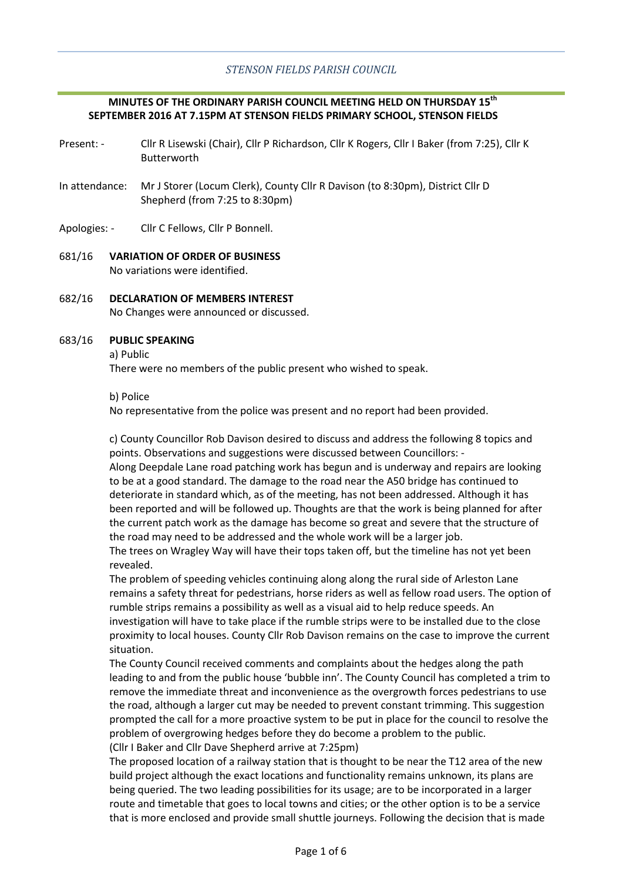# **MINUTES OF THE ORDINARY PARISH COUNCIL MEETING HELD ON THURSDAY 15th SEPTEMBER 2016 AT 7.15PM AT STENSON FIELDS PRIMARY SCHOOL, STENSON FIELDS**

- Present: Cllr R Lisewski (Chair), Cllr P Richardson, Cllr K Rogers, Cllr I Baker (from 7:25), Cllr K Butterworth
- In attendance: Mr J Storer (Locum Clerk), County Cllr R Davison (to 8:30pm), District Cllr D Shepherd (from 7:25 to 8:30pm)
- Apologies: Cllr C Fellows, Cllr P Bonnell.
- 681/16 **VARIATION OF ORDER OF BUSINESS** No variations were identified.
- 682/16 **DECLARATION OF MEMBERS INTEREST** No Changes were announced or discussed.

#### 683/16 **PUBLIC SPEAKING**

a) Public

There were no members of the public present who wished to speak.

b) Police

No representative from the police was present and no report had been provided.

c) County Councillor Rob Davison desired to discuss and address the following 8 topics and points. Observations and suggestions were discussed between Councillors: - Along Deepdale Lane road patching work has begun and is underway and repairs are looking

to be at a good standard. The damage to the road near the A50 bridge has continued to deteriorate in standard which, as of the meeting, has not been addressed. Although it has been reported and will be followed up. Thoughts are that the work is being planned for after the current patch work as the damage has become so great and severe that the structure of the road may need to be addressed and the whole work will be a larger job.

The trees on Wragley Way will have their tops taken off, but the timeline has not yet been revealed.

The problem of speeding vehicles continuing along along the rural side of Arleston Lane remains a safety threat for pedestrians, horse riders as well as fellow road users. The option of rumble strips remains a possibility as well as a visual aid to help reduce speeds. An investigation will have to take place if the rumble strips were to be installed due to the close proximity to local houses. County Cllr Rob Davison remains on the case to improve the current situation.

The County Council received comments and complaints about the hedges along the path leading to and from the public house 'bubble inn'. The County Council has completed a trim to remove the immediate threat and inconvenience as the overgrowth forces pedestrians to use the road, although a larger cut may be needed to prevent constant trimming. This suggestion prompted the call for a more proactive system to be put in place for the council to resolve the problem of overgrowing hedges before they do become a problem to the public. (Cllr I Baker and Cllr Dave Shepherd arrive at 7:25pm)

The proposed location of a railway station that is thought to be near the T12 area of the new build project although the exact locations and functionality remains unknown, its plans are being queried. The two leading possibilities for its usage; are to be incorporated in a larger route and timetable that goes to local towns and cities; or the other option is to be a service that is more enclosed and provide small shuttle journeys. Following the decision that is made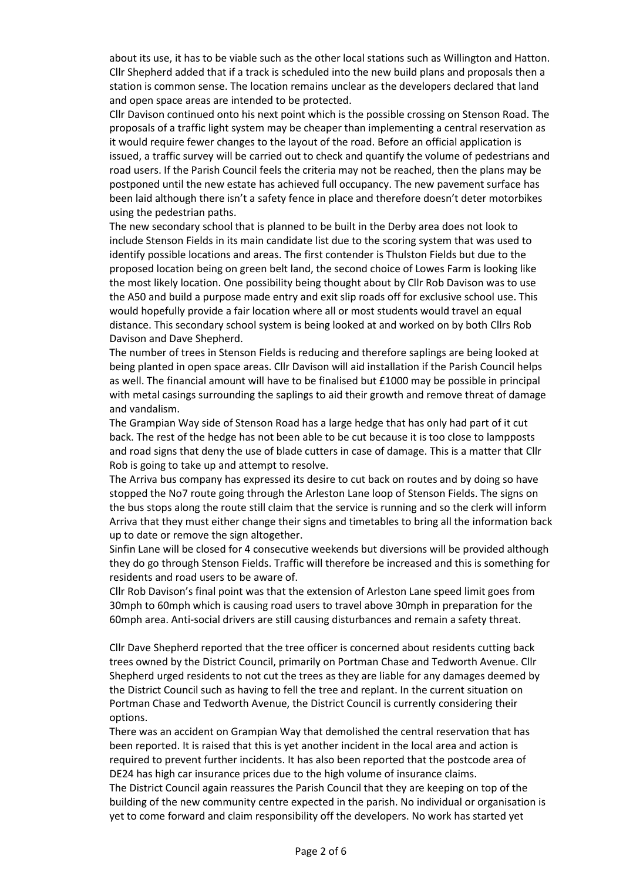about its use, it has to be viable such as the other local stations such as Willington and Hatton. Cllr Shepherd added that if a track is scheduled into the new build plans and proposals then a station is common sense. The location remains unclear as the developers declared that land and open space areas are intended to be protected.

Cllr Davison continued onto his next point which is the possible crossing on Stenson Road. The proposals of a traffic light system may be cheaper than implementing a central reservation as it would require fewer changes to the layout of the road. Before an official application is issued, a traffic survey will be carried out to check and quantify the volume of pedestrians and road users. If the Parish Council feels the criteria may not be reached, then the plans may be postponed until the new estate has achieved full occupancy. The new pavement surface has been laid although there isn't a safety fence in place and therefore doesn't deter motorbikes using the pedestrian paths.

The new secondary school that is planned to be built in the Derby area does not look to include Stenson Fields in its main candidate list due to the scoring system that was used to identify possible locations and areas. The first contender is Thulston Fields but due to the proposed location being on green belt land, the second choice of Lowes Farm is looking like the most likely location. One possibility being thought about by Cllr Rob Davison was to use the A50 and build a purpose made entry and exit slip roads off for exclusive school use. This would hopefully provide a fair location where all or most students would travel an equal distance. This secondary school system is being looked at and worked on by both Cllrs Rob Davison and Dave Shepherd.

The number of trees in Stenson Fields is reducing and therefore saplings are being looked at being planted in open space areas. Cllr Davison will aid installation if the Parish Council helps as well. The financial amount will have to be finalised but £1000 may be possible in principal with metal casings surrounding the saplings to aid their growth and remove threat of damage and vandalism.

The Grampian Way side of Stenson Road has a large hedge that has only had part of it cut back. The rest of the hedge has not been able to be cut because it is too close to lampposts and road signs that deny the use of blade cutters in case of damage. This is a matter that Cllr Rob is going to take up and attempt to resolve.

The Arriva bus company has expressed its desire to cut back on routes and by doing so have stopped the No7 route going through the Arleston Lane loop of Stenson Fields. The signs on the bus stops along the route still claim that the service is running and so the clerk will inform Arriva that they must either change their signs and timetables to bring all the information back up to date or remove the sign altogether.

Sinfin Lane will be closed for 4 consecutive weekends but diversions will be provided although they do go through Stenson Fields. Traffic will therefore be increased and this is something for residents and road users to be aware of.

Cllr Rob Davison's final point was that the extension of Arleston Lane speed limit goes from 30mph to 60mph which is causing road users to travel above 30mph in preparation for the 60mph area. Anti-social drivers are still causing disturbances and remain a safety threat.

Cllr Dave Shepherd reported that the tree officer is concerned about residents cutting back trees owned by the District Council, primarily on Portman Chase and Tedworth Avenue. Cllr Shepherd urged residents to not cut the trees as they are liable for any damages deemed by the District Council such as having to fell the tree and replant. In the current situation on Portman Chase and Tedworth Avenue, the District Council is currently considering their options.

There was an accident on Grampian Way that demolished the central reservation that has been reported. It is raised that this is yet another incident in the local area and action is required to prevent further incidents. It has also been reported that the postcode area of DE24 has high car insurance prices due to the high volume of insurance claims.

The District Council again reassures the Parish Council that they are keeping on top of the building of the new community centre expected in the parish. No individual or organisation is yet to come forward and claim responsibility off the developers. No work has started yet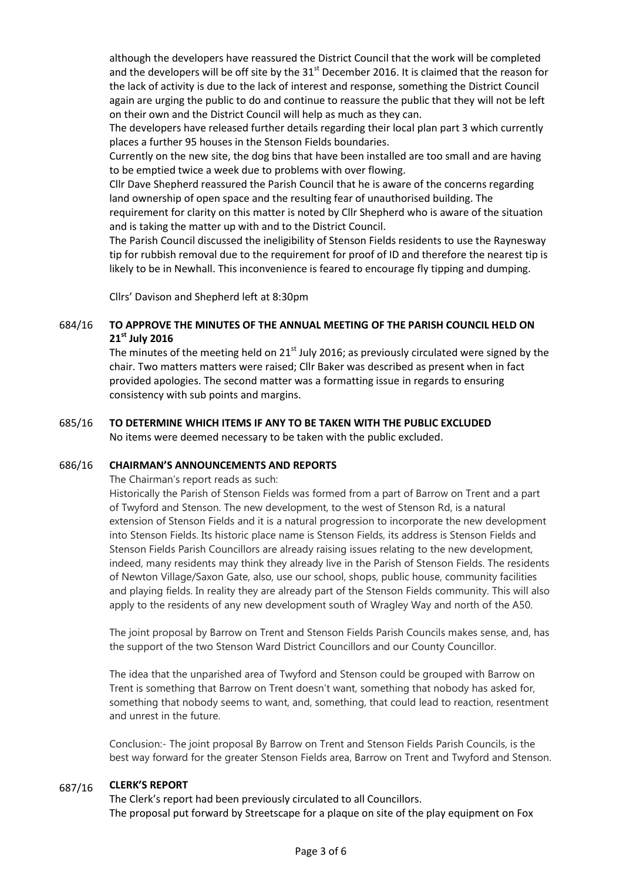although the developers have reassured the District Council that the work will be completed and the developers will be off site by the  $31<sup>st</sup>$  December 2016. It is claimed that the reason for the lack of activity is due to the lack of interest and response, something the District Council again are urging the public to do and continue to reassure the public that they will not be left on their own and the District Council will help as much as they can.

The developers have released further details regarding their local plan part 3 which currently places a further 95 houses in the Stenson Fields boundaries.

Currently on the new site, the dog bins that have been installed are too small and are having to be emptied twice a week due to problems with over flowing.

Cllr Dave Shepherd reassured the Parish Council that he is aware of the concerns regarding land ownership of open space and the resulting fear of unauthorised building. The

requirement for clarity on this matter is noted by Cllr Shepherd who is aware of the situation and is taking the matter up with and to the District Council.

The Parish Council discussed the ineligibility of Stenson Fields residents to use the Raynesway tip for rubbish removal due to the requirement for proof of ID and therefore the nearest tip is likely to be in Newhall. This inconvenience is feared to encourage fly tipping and dumping.

Cllrs' Davison and Shepherd left at 8:30pm

### 684/16 **TO APPROVE THE MINUTES OF THE ANNUAL MEETING OF THE PARISH COUNCIL HELD ON 21st July 2016**

The minutes of the meeting held on  $21<sup>st</sup>$  July 2016; as previously circulated were signed by the chair. Two matters matters were raised; Cllr Baker was described as present when in fact provided apologies. The second matter was a formatting issue in regards to ensuring consistency with sub points and margins.

### 685/16 **TO DETERMINE WHICH ITEMS IF ANY TO BE TAKEN WITH THE PUBLIC EXCLUDED** No items were deemed necessary to be taken with the public excluded.

#### 686/16 **CHAIRMAN'S ANNOUNCEMENTS AND REPORTS**

The Chairman's report reads as such:

Historically the Parish of Stenson Fields was formed from a part of Barrow on Trent and a part of Twyford and Stenson. The new development, to the west of Stenson Rd, is a natural extension of Stenson Fields and it is a natural progression to incorporate the new development into Stenson Fields. Its historic place name is Stenson Fields, its address is Stenson Fields and Stenson Fields Parish Councillors are already raising issues relating to the new development, indeed, many residents may think they already live in the Parish of Stenson Fields. The residents of Newton Village/Saxon Gate, also, use our school, shops, public house, community facilities and playing fields. In reality they are already part of the Stenson Fields community. This will also apply to the residents of any new development south of Wragley Way and north of the A50.

The joint proposal by Barrow on Trent and Stenson Fields Parish Councils makes sense, and, has the support of the two Stenson Ward District Councillors and our County Councillor.

The idea that the unparished area of Twyford and Stenson could be grouped with Barrow on Trent is something that Barrow on Trent doesn't want, something that nobody has asked for, something that nobody seems to want, and, something, that could lead to reaction, resentment and unrest in the future.

Conclusion:- The joint proposal By Barrow on Trent and Stenson Fields Parish Councils, is the best way forward for the greater Stenson Fields area, Barrow on Trent and Twyford and Stenson.

#### 687/16 **CLERK'S REPORT**

The Clerk's report had been previously circulated to all Councillors. The proposal put forward by Streetscape for a plaque on site of the play equipment on Fox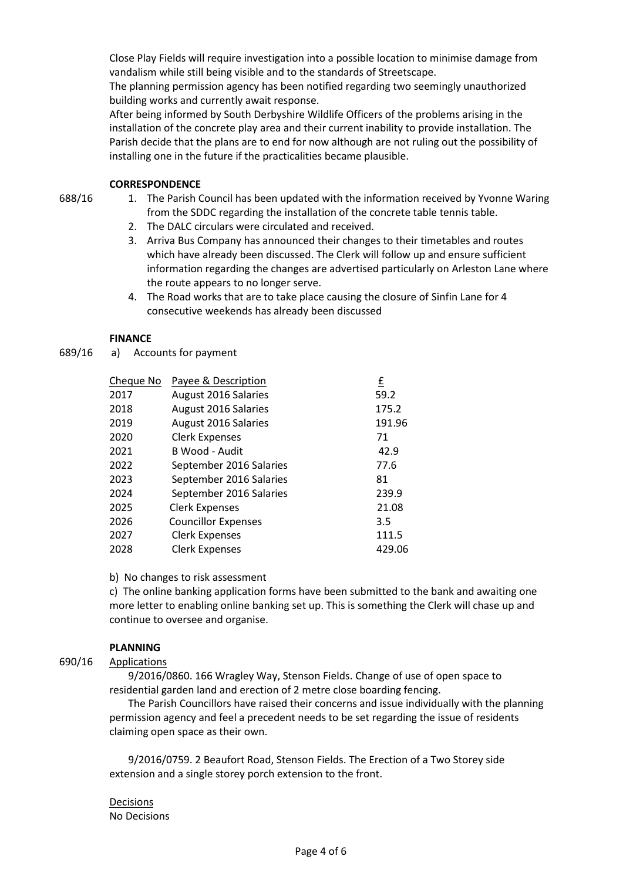Close Play Fields will require investigation into a possible location to minimise damage from vandalism while still being visible and to the standards of Streetscape.

The planning permission agency has been notified regarding two seemingly unauthorized building works and currently await response.

After being informed by South Derbyshire Wildlife Officers of the problems arising in the installation of the concrete play area and their current inability to provide installation. The Parish decide that the plans are to end for now although are not ruling out the possibility of installing one in the future if the practicalities became plausible.

# **CORRESPONDENCE**

- 688/16
- 1. The Parish Council has been updated with the information received by Yvonne Waring from the SDDC regarding the installation of the concrete table tennis table.
	- 2. The DALC circulars were circulated and received.
	- 3. Arriva Bus Company has announced their changes to their timetables and routes which have already been discussed. The Clerk will follow up and ensure sufficient information regarding the changes are advertised particularly on Arleston Lane where the route appears to no longer serve.
	- 4. The Road works that are to take place causing the closure of Sinfin Lane for 4 consecutive weekends has already been discussed

# **FINANCE**

689/16 a) Accounts for payment

| Cheque No | Payee & Description        | £      |
|-----------|----------------------------|--------|
| 2017      | August 2016 Salaries       | 59.2   |
| 2018      | August 2016 Salaries       | 175.2  |
| 2019      | August 2016 Salaries       | 191.96 |
| 2020      | <b>Clerk Expenses</b>      | 71     |
| 2021      | B Wood - Audit             | 42.9   |
| 2022      | September 2016 Salaries    | 77.6   |
| 2023      | September 2016 Salaries    | 81     |
| 2024      | September 2016 Salaries    | 239.9  |
| 2025      | <b>Clerk Expenses</b>      | 21.08  |
| 2026      | <b>Councillor Expenses</b> | 3.5    |
| 2027      | <b>Clerk Expenses</b>      | 111.5  |
| 2028      | <b>Clerk Expenses</b>      | 429.06 |

b) No changes to risk assessment

c) The online banking application forms have been submitted to the bank and awaiting one more letter to enabling online banking set up. This is something the Clerk will chase up and continue to oversee and organise.

# **PLANNING**

690/16 Applications

> 9/2016/0860. 166 Wragley Way, Stenson Fields. Change of use of open space to residential garden land and erection of 2 metre close boarding fencing.

The Parish Councillors have raised their concerns and issue individually with the planning permission agency and feel a precedent needs to be set regarding the issue of residents claiming open space as their own.

9/2016/0759. 2 Beaufort Road, Stenson Fields. The Erection of a Two Storey side extension and a single storey porch extension to the front.

Decisions No Decisions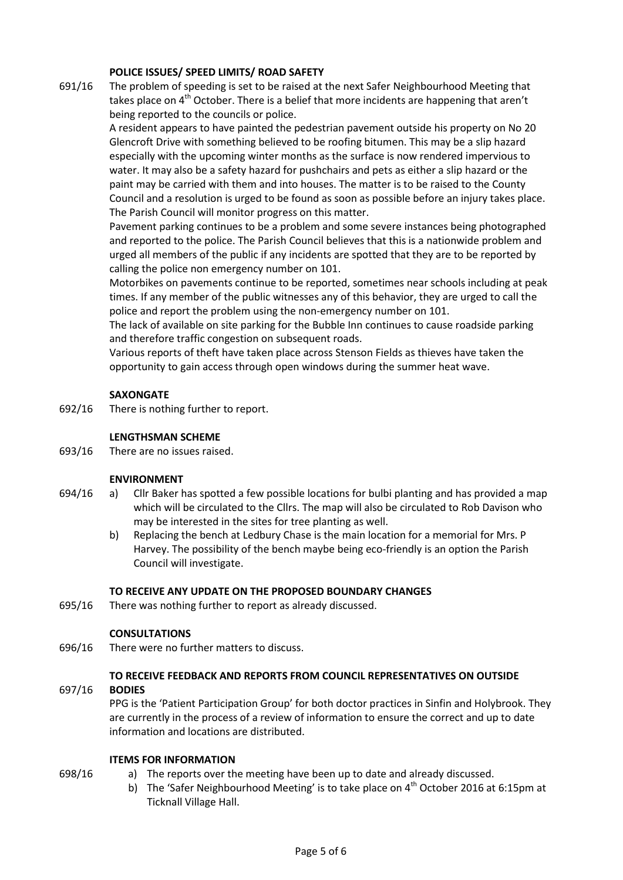# **POLICE ISSUES/ SPEED LIMITS/ ROAD SAFETY**

691/16 The problem of speeding is set to be raised at the next Safer Neighbourhood Meeting that takes place on 4<sup>th</sup> October. There is a belief that more incidents are happening that aren't being reported to the councils or police.

> A resident appears to have painted the pedestrian pavement outside his property on No 20 Glencroft Drive with something believed to be roofing bitumen. This may be a slip hazard especially with the upcoming winter months as the surface is now rendered impervious to water. It may also be a safety hazard for pushchairs and pets as either a slip hazard or the paint may be carried with them and into houses. The matter is to be raised to the County Council and a resolution is urged to be found as soon as possible before an injury takes place. The Parish Council will monitor progress on this matter.

> Pavement parking continues to be a problem and some severe instances being photographed and reported to the police. The Parish Council believes that this is a nationwide problem and urged all members of the public if any incidents are spotted that they are to be reported by calling the police non emergency number on 101.

> Motorbikes on pavements continue to be reported, sometimes near schools including at peak times. If any member of the public witnesses any of this behavior, they are urged to call the police and report the problem using the non-emergency number on 101.

The lack of available on site parking for the Bubble Inn continues to cause roadside parking and therefore traffic congestion on subsequent roads.

Various reports of theft have taken place across Stenson Fields as thieves have taken the opportunity to gain access through open windows during the summer heat wave.

# **SAXONGATE**

692/16 There is nothing further to report.

## **LENGTHSMAN SCHEME**

693/16 There are no issues raised.

# **ENVIRONMENT**

- 694/16 a) Cllr Baker has spotted a few possible locations for bulbi planting and has provided a map which will be circulated to the Cllrs. The map will also be circulated to Rob Davison who may be interested in the sites for tree planting as well.
	- b) Replacing the bench at Ledbury Chase is the main location for a memorial for Mrs. P Harvey. The possibility of the bench maybe being eco-friendly is an option the Parish Council will investigate.

# **TO RECEIVE ANY UPDATE ON THE PROPOSED BOUNDARY CHANGES**

695/16 There was nothing further to report as already discussed.

# **CONSULTATIONS**

696/16 There were no further matters to discuss.

# **TO RECEIVE FEEDBACK AND REPORTS FROM COUNCIL REPRESENTATIVES ON OUTSIDE**

#### 697/16 **BODIES**

698/16

PPG is the 'Patient Participation Group' for both doctor practices in Sinfin and Holybrook. They are currently in the process of a review of information to ensure the correct and up to date information and locations are distributed.

# **ITEMS FOR INFORMATION**

- a) The reports over the meeting have been up to date and already discussed.
	- b) The 'Safer Neighbourhood Meeting' is to take place on  $4<sup>th</sup>$  October 2016 at 6:15pm at Ticknall Village Hall.